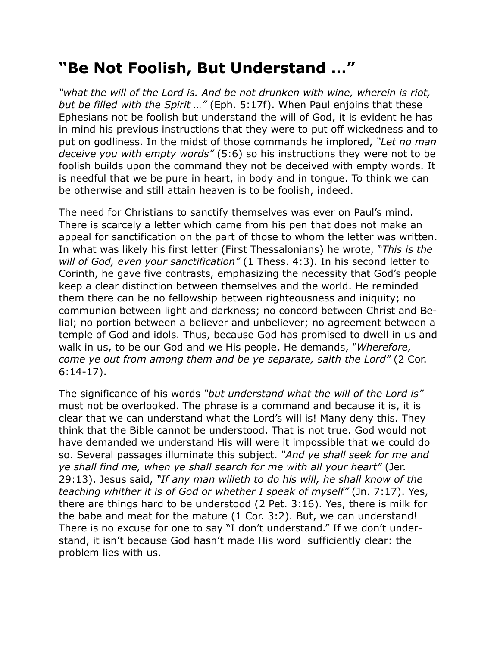## **"Be Not Foolish, But Understand …"**

*"what the will of the Lord is. And be not drunken with wine, wherein is riot, but be filled with the Spirit …"* (Eph. 5:17f). When Paul enjoins that these Ephesians not be foolish but understand the will of God, it is evident he has in mind his previous instructions that they were to put off wickedness and to put on godliness. In the midst of those commands he implored, *"Let no man deceive you with empty words"* (5:6) so his instructions they were not to be foolish builds upon the command they not be deceived with empty words. It is needful that we be pure in heart, in body and in tongue. To think we can be otherwise and still attain heaven is to be foolish, indeed.

The need for Christians to sanctify themselves was ever on Paul's mind. There is scarcely a letter which came from his pen that does not make an appeal for sanctification on the part of those to whom the letter was written. In what was likely his first letter (First Thessalonians) he wrote, *"This is the will of God, even your sanctification"* (1 Thess. 4:3). In his second letter to Corinth, he gave five contrasts, emphasizing the necessity that God's people keep a clear distinction between themselves and the world. He reminded them there can be no fellowship between righteousness and iniquity; no communion between light and darkness; no concord between Christ and Belial; no portion between a believer and unbeliever; no agreement between a temple of God and idols. Thus, because God has promised to dwell in us and walk in us, to be our God and we His people, He demands, *"Wherefore, come ye out from among them and be ye separate, saith the Lord"* (2 Cor. 6:14-17).

The significance of his words *"but understand what the will of the Lord is"* must not be overlooked. The phrase is a command and because it is, it is clear that we can understand what the Lord's will is! Many deny this. They think that the Bible cannot be understood. That is not true. God would not have demanded we understand His will were it impossible that we could do so. Several passages illuminate this subject. *"And ye shall seek for me and ye shall find me, when ye shall search for me with all your heart"* (Jer. 29:13). Jesus said, *"If any man willeth to do his will, he shall know of the teaching whither it is of God or whether I speak of myself"* (Jn. 7:17). Yes, there are things hard to be understood (2 Pet. 3:16). Yes, there is milk for the babe and meat for the mature (1 Cor. 3:2). But, we can understand! There is no excuse for one to say "I don't understand." If we don't understand, it isn't because God hasn't made His word sufficiently clear: the problem lies with us.